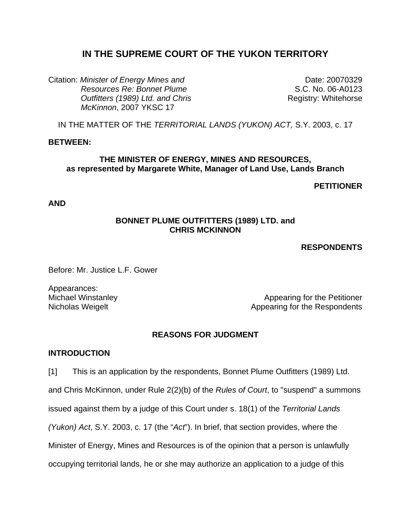# **IN THE SUPREME COURT OF THE YUKON TERRITORY**

Citation: *Minister of Energy Mines and Resources Re: Bonnet Plume Outfitters (1989) Ltd. and Chris McKinnon*, 2007 YKSC 17

Date: 20070329 S.C. No. 06-A0123 Registry: Whitehorse

IN THE MATTER OF THE *TERRITORIAL LANDS (YUKON) ACT,* S.Y. 2003, c. 17

### **BETWEEN:**

### **THE MINISTER OF ENERGY, MINES AND RESOURCES, as represented by Margarete White, Manager of Land Use, Lands Branch**

## **PETITIONER**

**AND** 

## **BONNET PLUME OUTFITTERS (1989) LTD. and CHRIS MCKINNON**

**RESPONDENTS** 

Before: Mr. Justice L.F. Gower

Appearances:

Michael Winstanley **Appearing for the Petitioner** Appearing for the Petitioner Nicholas Weigelt **Appearing for the Respondents** 

## **REASONS FOR JUDGMENT**

### **INTRODUCTION**

[1] This is an application by the respondents, Bonnet Plume Outfitters (1989) Ltd. and Chris McKinnon, under Rule 2(2)(b) of the *Rules of Court*, to "suspend" a summons issued against them by a judge of this Court under s. 18(1) of the *Territorial Lands (Yukon) Act*, S.Y. 2003, c. 17 (the "*Act*"). In brief, that section provides, where the Minister of Energy, Mines and Resources is of the opinion that a person is unlawfully occupying territorial lands, he or she may authorize an application to a judge of this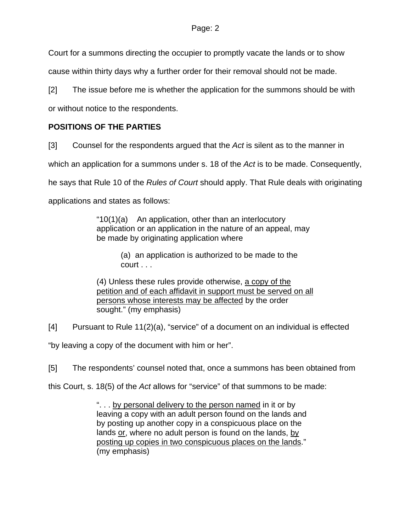Court for a summons directing the occupier to promptly vacate the lands or to show

cause within thirty days why a further order for their removal should not be made.

[2] The issue before me is whether the application for the summons should be with

or without notice to the respondents.

# **POSITIONS OF THE PARTIES**

[3] Counsel for the respondents argued that the *Act* is silent as to the manner in

which an application for a summons under s. 18 of the *Act* is to be made. Consequently,

he says that Rule 10 of the *Rules of Court* should apply. That Rule deals with originating

applications and states as follows:

"10(1)(a) An application, other than an interlocutory application or an application in the nature of an appeal, may be made by originating application where

> (a) an application is authorized to be made to the court . . .

(4) Unless these rules provide otherwise, a copy of the petition and of each affidavit in support must be served on all persons whose interests may be affected by the order sought." (my emphasis)

[4] Pursuant to Rule 11(2)(a), "service" of a document on an individual is effected

"by leaving a copy of the document with him or her".

[5] The respondents' counsel noted that, once a summons has been obtained from

this Court, s. 18(5) of the *Act* allows for "service" of that summons to be made:

". . . by personal delivery to the person named in it or by leaving a copy with an adult person found on the lands and by posting up another copy in a conspicuous place on the lands or, where no adult person is found on the lands, by posting up copies in two conspicuous places on the lands." (my emphasis)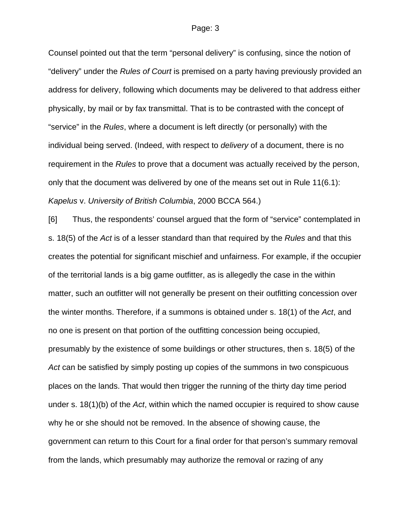Counsel pointed out that the term "personal delivery" is confusing, since the notion of "delivery" under the *Rules of Court* is premised on a party having previously provided an address for delivery, following which documents may be delivered to that address either physically, by mail or by fax transmittal. That is to be contrasted with the concept of "service" in the *Rules*, where a document is left directly (or personally) with the individual being served. (Indeed, with respect to *delivery* of a document, there is no requirement in the *Rules* to prove that a document was actually received by the person, only that the document was delivered by one of the means set out in Rule 11(6.1): *Kapelus* v. *University of British Columbia*, 2000 BCCA 564.)

[6] Thus, the respondents' counsel argued that the form of "service" contemplated in s. 18(5) of the *Act* is of a lesser standard than that required by the *Rules* and that this creates the potential for significant mischief and unfairness. For example, if the occupier of the territorial lands is a big game outfitter, as is allegedly the case in the within matter, such an outfitter will not generally be present on their outfitting concession over the winter months. Therefore, if a summons is obtained under s. 18(1) of the *Act*, and no one is present on that portion of the outfitting concession being occupied, presumably by the existence of some buildings or other structures, then s. 18(5) of the *Act* can be satisfied by simply posting up copies of the summons in two conspicuous places on the lands. That would then trigger the running of the thirty day time period under s. 18(1)(b) of the *Act*, within which the named occupier is required to show cause why he or she should not be removed. In the absence of showing cause, the government can return to this Court for a final order for that person's summary removal from the lands, which presumably may authorize the removal or razing of any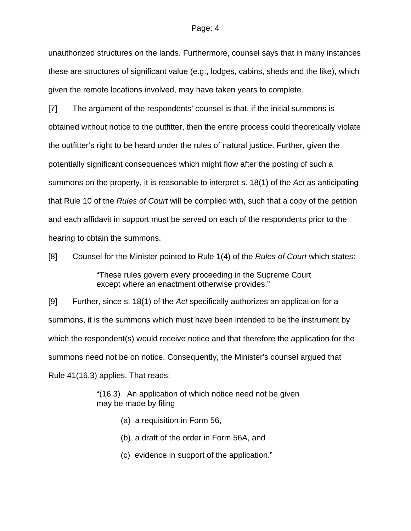unauthorized structures on the lands. Furthermore, counsel says that in many instances these are structures of significant value (e.g., lodges, cabins, sheds and the like), which given the remote locations involved, may have taken years to complete.

[7] The argument of the respondents' counsel is that, if the initial summons is obtained without notice to the outfitter, then the entire process could theoretically violate the outfitter's right to be heard under the rules of natural justice. Further, given the potentially significant consequences which might flow after the posting of such a summons on the property, it is reasonable to interpret s. 18(1) of the *Act* as anticipating that Rule 10 of the *Rules of Court* will be complied with, such that a copy of the petition and each affidavit in support must be served on each of the respondents prior to the hearing to obtain the summons.

[8] Counsel for the Minister pointed to Rule 1(4) of the *Rules of Court* which states:

"These rules govern every proceeding in the Supreme Court except where an enactment otherwise provides."

[9] Further, since s. 18(1) of the *Act* specifically authorizes an application for a summons, it is the summons which must have been intended to be the instrument by which the respondent(s) would receive notice and that therefore the application for the summons need not be on notice. Consequently, the Minister's counsel argued that Rule 41(16.3) applies. That reads:

> "(16.3) An application of which notice need not be given may be made by filing

- (a) a requisition in Form 56,
- (b) a draft of the order in Form 56A, and
- (c) evidence in support of the application."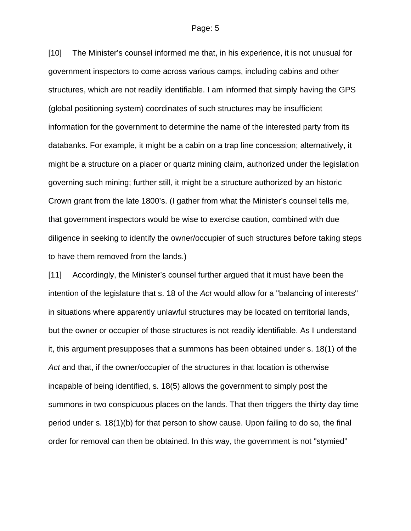[10] The Minister's counsel informed me that, in his experience, it is not unusual for government inspectors to come across various camps, including cabins and other structures, which are not readily identifiable. I am informed that simply having the GPS (global positioning system) coordinates of such structures may be insufficient information for the government to determine the name of the interested party from its databanks. For example, it might be a cabin on a trap line concession; alternatively, it might be a structure on a placer or quartz mining claim, authorized under the legislation governing such mining; further still, it might be a structure authorized by an historic Crown grant from the late 1800's. (I gather from what the Minister's counsel tells me, that government inspectors would be wise to exercise caution, combined with due diligence in seeking to identify the owner/occupier of such structures before taking steps to have them removed from the lands.)

[11] Accordingly, the Minister's counsel further argued that it must have been the intention of the legislature that s. 18 of the *Act* would allow for a "balancing of interests" in situations where apparently unlawful structures may be located on territorial lands, but the owner or occupier of those structures is not readily identifiable. As I understand it, this argument presupposes that a summons has been obtained under s. 18(1) of the *Act* and that, if the owner/occupier of the structures in that location is otherwise incapable of being identified, s. 18(5) allows the government to simply post the summons in two conspicuous places on the lands. That then triggers the thirty day time period under s. 18(1)(b) for that person to show cause. Upon failing to do so, the final order for removal can then be obtained. In this way, the government is not "stymied"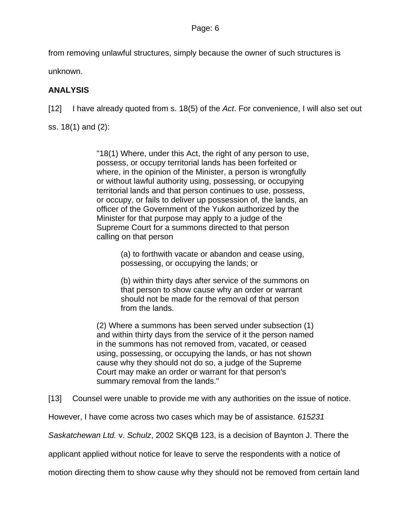from removing unlawful structures, simply because the owner of such structures is unknown.

**ANALYSIS** 

[12] I have already quoted from s. 18(5) of the *Act*. For convenience, I will also set out

ss. 18(1) and (2):

"18(1) Where, under this Act, the right of any person to use, possess, or occupy territorial lands has been forfeited or where, in the opinion of the Minister, a person is wrongfully or without lawful authority using, possessing, or occupying territorial lands and that person continues to use, possess, or occupy, or fails to deliver up possession of, the lands, an officer of the Government of the Yukon authorized by the Minister for that purpose may apply to a judge of the Supreme Court for a summons directed to that person calling on that person

> (a) to forthwith vacate or abandon and cease using, possessing, or occupying the lands; or

(b) within thirty days after service of the summons on that person to show cause why an order or warrant should not be made for the removal of that person from the lands.

(2) Where a summons has been served under subsection (1) and within thirty days from the service of it the person named in the summons has not removed from, vacated, or ceased using, possessing, or occupying the lands, or has not shown cause why they should not do so, a judge of the Supreme Court may make an order or warrant for that person's summary removal from the lands."

[13] Counsel were unable to provide me with any authorities on the issue of notice.

However, I have come across two cases which may be of assistance. *615231* 

*Saskatchewan Ltd.* v. *Schulz*, 2002 SKQB 123, is a decision of Baynton J. There the

applicant applied without notice for leave to serve the respondents with a notice of

motion directing them to show cause why they should not be removed from certain land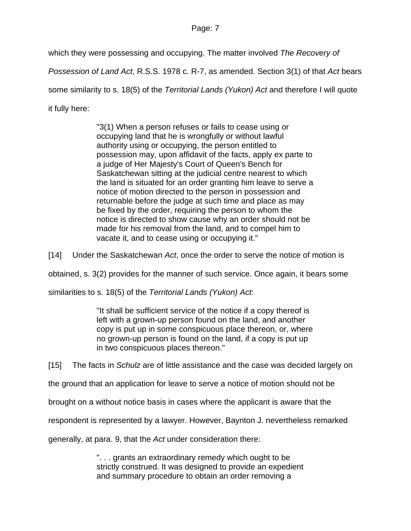which they were possessing and occupying. The matter involved *The Recovery of* 

*Possession of Land Act*, R.S.S. 1978 c. R-7, as amended. Section 3(1) of that *Act* bears some similarity to s. 18(5) of the *Territorial Lands (Yukon) Act* and therefore I will quote it fully here:

> "3(1) When a person refuses or fails to cease using or occupying land that he is wrongfully or without lawful authority using or occupying, the person entitled to possession may, upon affidavit of the facts, apply ex parte to a judge of Her Majesty's Court of Queen's Bench for Saskatchewan sitting at the judicial centre nearest to which the land is situated for an order granting him leave to serve a notice of motion directed to the person in possession and returnable before the judge at such time and place as may be fixed by the order, requiring the person to whom the notice is directed to show cause why an order should not be made for his removal from the land, and to compel him to vacate it, and to cease using or occupying it."

[14] Under the Saskatchewan *Act*, once the order to serve the notice of motion is

obtained, s. 3(2) provides for the manner of such service. Once again, it bears some

similarities to s. 18(5) of the *Territorial Lands (Yukon) Act*:

"It shall be sufficient service of the notice if a copy thereof is left with a grown-up person found on the land, and another copy is put up in some conspicuous place thereon, or, where no grown-up person is found on the land, if a copy is put up in two conspicuous places thereon."

[15] The facts in *Schulz* are of little assistance and the case was decided largely on

the ground that an application for leave to serve a notice of motion should not be

brought on a without notice basis in cases where the applicant is aware that the

respondent is represented by a lawyer. However, Baynton J. nevertheless remarked

generally, at para. 9, that the *Act* under consideration there:

". . . grants an extraordinary remedy which ought to be strictly construed. It was designed to provide an expedient and summary procedure to obtain an order removing a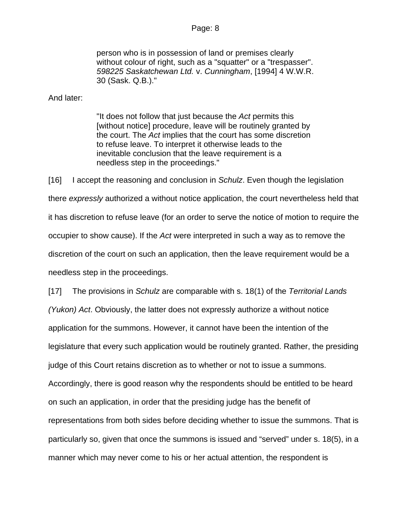person who is in possession of land or premises clearly without colour of right, such as a "squatter" or a "trespasser". *598225 Saskatchewan Ltd.* v. *Cunningham*, [1994] 4 W.W.R. 30 (Sask. Q.B.)."

And later:

"It does not follow that just because the *Act* permits this [without notice] procedure, leave will be routinely granted by the court. The *Act* implies that the court has some discretion to refuse leave. To interpret it otherwise leads to the inevitable conclusion that the leave requirement is a needless step in the proceedings."

[16] I accept the reasoning and conclusion in *Schulz*. Even though the legislation there *expressly* authorized a without notice application, the court nevertheless held that it has discretion to refuse leave (for an order to serve the notice of motion to require the occupier to show cause). If the *Act* were interpreted in such a way as to remove the discretion of the court on such an application, then the leave requirement would be a needless step in the proceedings.

[17] The provisions in *Schulz* are comparable with s. 18(1) of the *Territorial Lands (Yukon) Act*. Obviously, the latter does not expressly authorize a without notice application for the summons. However, it cannot have been the intention of the legislature that every such application would be routinely granted. Rather, the presiding judge of this Court retains discretion as to whether or not to issue a summons. Accordingly, there is good reason why the respondents should be entitled to be heard on such an application, in order that the presiding judge has the benefit of representations from both sides before deciding whether to issue the summons. That is particularly so, given that once the summons is issued and "served" under s. 18(5), in a manner which may never come to his or her actual attention, the respondent is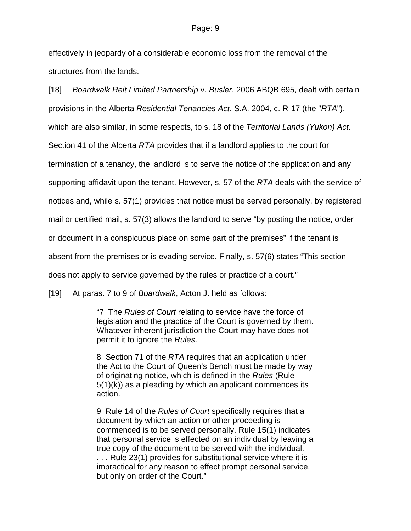effectively in jeopardy of a considerable economic loss from the removal of the structures from the lands.

[18] *Boardwalk Reit Limited Partnership* v. *Busler*, 2006 ABQB 695, dealt with certain provisions in the Alberta *Residential Tenancies Act*, S.A. 2004, c. R-17 (the "*RTA*"), which are also similar, in some respects, to s. 18 of the *Territorial Lands (Yukon) Act*. Section 41 of the Alberta *RTA* provides that if a landlord applies to the court for termination of a tenancy, the landlord is to serve the notice of the application and any supporting affidavit upon the tenant. However, s. 57 of the *RTA* deals with the service of notices and, while s. 57(1) provides that notice must be served personally, by registered mail or certified mail, s. 57(3) allows the landlord to serve "by posting the notice, order or document in a conspicuous place on some part of the premises" if the tenant is absent from the premises or is evading service. Finally, s. 57(6) states "This section does not apply to service governed by the rules or practice of a court."

[19] At paras. 7 to 9 of *Boardwalk*, Acton J. held as follows:

"7 The *Rules of Court* relating to service have the force of legislation and the practice of the Court is governed by them. Whatever inherent jurisdiction the Court may have does not permit it to ignore the *Rules*.

8 Section 71 of the *RTA* requires that an application under the Act to the Court of Queen's Bench must be made by way of originating notice, which is defined in the *Rules* (Rule 5(1)(k)) as a pleading by which an applicant commences its action.

9 Rule 14 of the *Rules of Court* specifically requires that a document by which an action or other proceeding is commenced is to be served personally. Rule 15(1) indicates that personal service is effected on an individual by leaving a true copy of the document to be served with the individual.

. . . Rule 23(1) provides for substitutional service where it is impractical for any reason to effect prompt personal service, but only on order of the Court."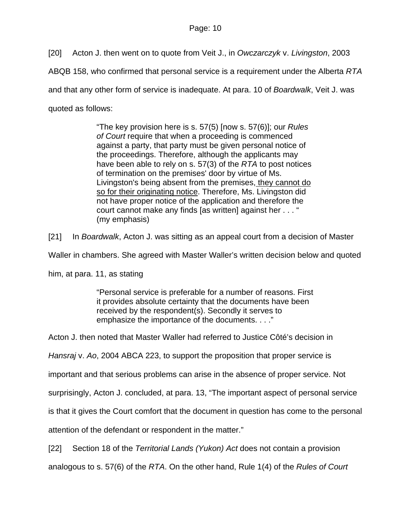[20] Acton J. then went on to quote from Veit J., in *Owczarczyk* v. *Livingston*, 2003

ABQB 158, who confirmed that personal service is a requirement under the Alberta *RTA*

and that any other form of service is inadequate. At para. 10 of *Boardwalk*, Veit J. was

quoted as follows:

"The key provision here is s. 57(5) [now s. 57(6)]; our *Rules of Court* require that when a proceeding is commenced against a party, that party must be given personal notice of the proceedings. Therefore, although the applicants may have been able to rely on s. 57(3) of the *RTA* to post notices of termination on the premises' door by virtue of Ms. Livingston's being absent from the premises, they cannot do so for their originating notice. Therefore, Ms. Livingston did not have proper notice of the application and therefore the court cannot make any finds [as written] against her . . . " (my emphasis)

[21] In *Boardwalk*, Acton J. was sitting as an appeal court from a decision of Master

Waller in chambers. She agreed with Master Waller's written decision below and quoted

him, at para. 11, as stating

"Personal service is preferable for a number of reasons. First it provides absolute certainty that the documents have been received by the respondent(s). Secondly it serves to emphasize the importance of the documents. . . ."

Acton J. then noted that Master Waller had referred to Justice Côté's decision in

*Hansraj* v. *Ao*, 2004 ABCA 223, to support the proposition that proper service is

important and that serious problems can arise in the absence of proper service. Not

surprisingly, Acton J. concluded, at para. 13, "The important aspect of personal service

is that it gives the Court comfort that the document in question has come to the personal

attention of the defendant or respondent in the matter."

[22] Section 18 of the *Territorial Lands (Yukon) Act* does not contain a provision

analogous to s. 57(6) of the *RTA*. On the other hand, Rule 1(4) of the *Rules of Court*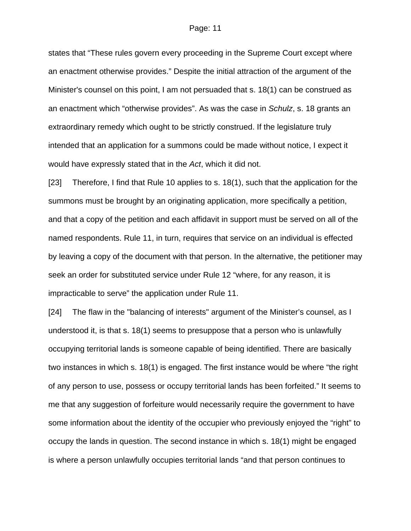states that "These rules govern every proceeding in the Supreme Court except where an enactment otherwise provides." Despite the initial attraction of the argument of the Minister's counsel on this point, I am not persuaded that s. 18(1) can be construed as an enactment which "otherwise provides". As was the case in *Schulz*, s. 18 grants an extraordinary remedy which ought to be strictly construed. If the legislature truly intended that an application for a summons could be made without notice, I expect it would have expressly stated that in the *Act*, which it did not.

[23] Therefore, I find that Rule 10 applies to s. 18(1), such that the application for the summons must be brought by an originating application, more specifically a petition, and that a copy of the petition and each affidavit in support must be served on all of the named respondents. Rule 11, in turn, requires that service on an individual is effected by leaving a copy of the document with that person. In the alternative, the petitioner may seek an order for substituted service under Rule 12 "where, for any reason, it is impracticable to serve" the application under Rule 11.

[24] The flaw in the "balancing of interests" argument of the Minister's counsel, as I understood it, is that s. 18(1) seems to presuppose that a person who is unlawfully occupying territorial lands is someone capable of being identified. There are basically two instances in which s. 18(1) is engaged. The first instance would be where "the right of any person to use, possess or occupy territorial lands has been forfeited." It seems to me that any suggestion of forfeiture would necessarily require the government to have some information about the identity of the occupier who previously enjoyed the "right" to occupy the lands in question. The second instance in which s. 18(1) might be engaged is where a person unlawfully occupies territorial lands "and that person continues to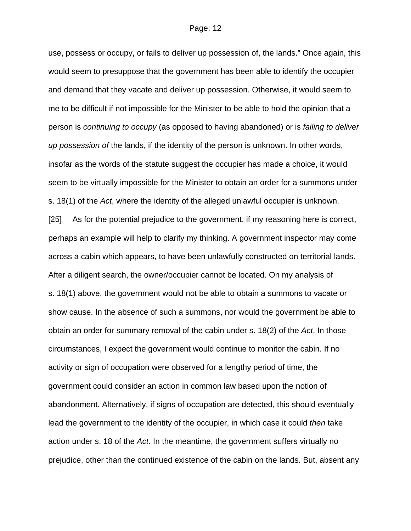use, possess or occupy, or fails to deliver up possession of, the lands." Once again, this

would seem to presuppose that the government has been able to identify the occupier and demand that they vacate and deliver up possession. Otherwise, it would seem to me to be difficult if not impossible for the Minister to be able to hold the opinion that a person is *continuing to occupy* (as opposed to having abandoned) or is *failing to deliver up possession of* the lands, if the identity of the person is unknown. In other words, insofar as the words of the statute suggest the occupier has made a choice, it would seem to be virtually impossible for the Minister to obtain an order for a summons under s. 18(1) of the *Act*, where the identity of the alleged unlawful occupier is unknown. [25] As for the potential prejudice to the government, if my reasoning here is correct, perhaps an example will help to clarify my thinking. A government inspector may come across a cabin which appears, to have been unlawfully constructed on territorial lands. After a diligent search, the owner/occupier cannot be located. On my analysis of s. 18(1) above, the government would not be able to obtain a summons to vacate or show cause. In the absence of such a summons, nor would the government be able to obtain an order for summary removal of the cabin under s. 18(2) of the *Act*. In those circumstances, I expect the government would continue to monitor the cabin. If no activity or sign of occupation were observed for a lengthy period of time, the government could consider an action in common law based upon the notion of abandonment. Alternatively, if signs of occupation are detected, this should eventually lead the government to the identity of the occupier, in which case it could *then* take action under s. 18 of the *Act*. In the meantime, the government suffers virtually no prejudice, other than the continued existence of the cabin on the lands. But, absent any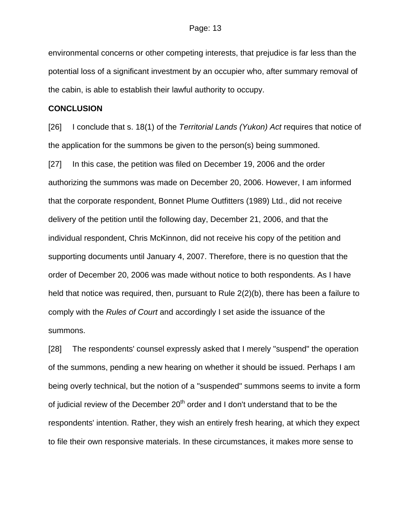environmental concerns or other competing interests, that prejudice is far less than the potential loss of a significant investment by an occupier who, after summary removal of the cabin, is able to establish their lawful authority to occupy.

### **CONCLUSION**

[26] I conclude that s. 18(1) of the *Territorial Lands (Yukon) Act* requires that notice of the application for the summons be given to the person(s) being summoned.

[27] In this case, the petition was filed on December 19, 2006 and the order authorizing the summons was made on December 20, 2006. However, I am informed that the corporate respondent, Bonnet Plume Outfitters (1989) Ltd., did not receive delivery of the petition until the following day, December 21, 2006, and that the individual respondent, Chris McKinnon, did not receive his copy of the petition and supporting documents until January 4, 2007. Therefore, there is no question that the order of December 20, 2006 was made without notice to both respondents. As I have held that notice was required, then, pursuant to Rule 2(2)(b), there has been a failure to comply with the *Rules of Court* and accordingly I set aside the issuance of the summons.

[28] The respondents' counsel expressly asked that I merely "suspend" the operation of the summons, pending a new hearing on whether it should be issued. Perhaps I am being overly technical, but the notion of a "suspended" summons seems to invite a form of judicial review of the December  $20<sup>th</sup>$  order and I don't understand that to be the respondents' intention. Rather, they wish an entirely fresh hearing, at which they expect to file their own responsive materials. In these circumstances, it makes more sense to